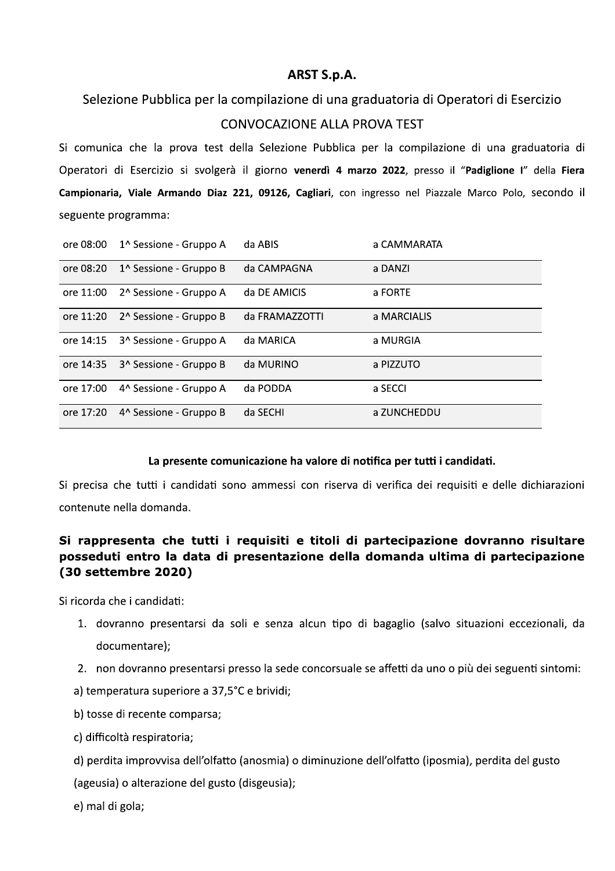## ARST S.p.A.

Selezione Pubblica per la compilazione di una graduatoria di Operatori di Esercizio

## CONVOCAZIONE ALLA PROVA TEST

Si comunica che la prova test della Selezione Pubblica per la compilazione di una graduatoria di Operatori di Esercizio si svolgerà il giorno venerdì 4 marzo 2022, presso il "Padiglione I" della Fiera Campionaria, Viale Armando Diaz 221, 09126, Cagliari, con ingresso nel Piazzale Marco Polo, secondo il seguente programma:

| ore 08:00 | 1^ Sessione - Gruppo A             | da ABIS        | a CAMMARATA |
|-----------|------------------------------------|----------------|-------------|
| ore 08:20 | 1 <sup>^</sup> Sessione - Gruppo B | da CAMPAGNA    | a DANZI     |
| ore 11:00 | 2 <sup>^</sup> Sessione - Gruppo A | da DE AMICIS   | a FORTE     |
| ore 11:20 | 2^ Sessione - Gruppo B             | da FRAMAZZOTTI | a MARCIALIS |
| ore 14:15 | 3 <sup>^</sup> Sessione - Gruppo A | da MARICA      | a MURGIA    |
| ore 14:35 | 3 <sup>^</sup> Sessione - Gruppo B | da MURINO      | a PIZZUTO   |
| ore 17:00 | 4^ Sessione - Gruppo A             | da PODDA       | a SECCI     |
| ore 17:20 | 4^ Sessione - Gruppo B             | da SECHI       | a ZUNCHEDDU |

## La presente comunicazione ha valore di notifica per tutti i candidati.

Si precisa che tutti i candidati sono ammessi con riserva di verifica dei requisiti e delle dichiarazioni contenute nella domanda.

## Si rappresenta che tutti i requisiti e titoli di partecipazione dovranno risultare posseduti entro la data di presentazione della domanda ultima di partecipazione (30 settembre 2020)

Si ricorda che i candidati:

- 1. dovranno presentarsi da soli e senza alcun tipo di bagaglio (salvo situazioni eccezionali, da documentare);
- 2. non dovranno presentarsi presso la sede concorsuale se affetti da uno o più dei seguenti sintomi:
- a) temperatura superiore a 37,5°C e brividi;
- b) tosse di recente comparsa;
- c) difficoltà respiratoria;
- d) perdita improvvisa dell'olfatto (anosmia) o diminuzione dell'olfatto (iposmia), perdita del gusto

(ageusia) o alterazione del gusto (disgeusia);

e) mal di gola;